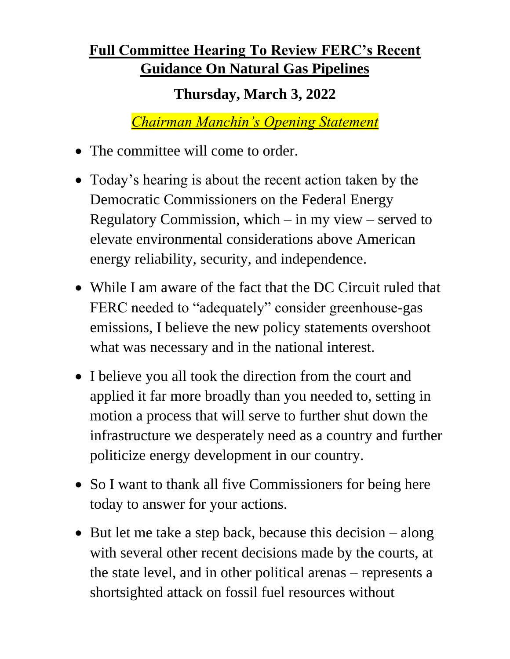## **Full Committee Hearing To Review FERC's Recent Guidance On Natural Gas Pipelines**

## **Thursday, March 3, 2022**

*Chairman Manchin's Opening Statement*

- The committee will come to order.
- Today's hearing is about the recent action taken by the Democratic Commissioners on the Federal Energy Regulatory Commission, which – in my view – served to elevate environmental considerations above American energy reliability, security, and independence.
- While I am aware of the fact that the DC Circuit ruled that FERC needed to "adequately" consider greenhouse-gas emissions, I believe the new policy statements overshoot what was necessary and in the national interest.
- I believe you all took the direction from the court and applied it far more broadly than you needed to, setting in motion a process that will serve to further shut down the infrastructure we desperately need as a country and further politicize energy development in our country.
- So I want to thank all five Commissioners for being here today to answer for your actions.
- But let me take a step back, because this decision along with several other recent decisions made by the courts, at the state level, and in other political arenas – represents a shortsighted attack on fossil fuel resources without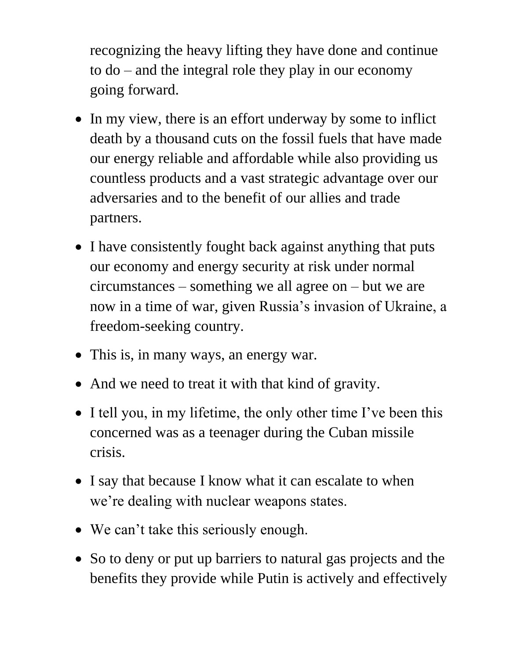recognizing the heavy lifting they have done and continue to do – and the integral role they play in our economy going forward.

- In my view, there is an effort underway by some to inflict death by a thousand cuts on the fossil fuels that have made our energy reliable and affordable while also providing us countless products and a vast strategic advantage over our adversaries and to the benefit of our allies and trade partners.
- I have consistently fought back against anything that puts our economy and energy security at risk under normal circumstances – something we all agree on – but we are now in a time of war, given Russia's invasion of Ukraine, a freedom-seeking country.
- This is, in many ways, an energy war.
- And we need to treat it with that kind of gravity.
- I tell you, in my lifetime, the only other time I've been this concerned was as a teenager during the Cuban missile crisis.
- I say that because I know what it can escalate to when we're dealing with nuclear weapons states.
- We can't take this seriously enough.
- So to deny or put up barriers to natural gas projects and the benefits they provide while Putin is actively and effectively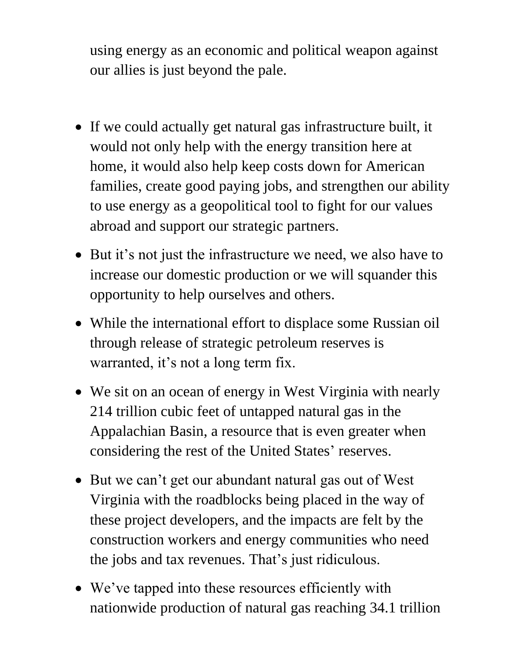using energy as an economic and political weapon against our allies is just beyond the pale.

- If we could actually get natural gas infrastructure built, it would not only help with the energy transition here at home, it would also help keep costs down for American families, create good paying jobs, and strengthen our ability to use energy as a geopolitical tool to fight for our values abroad and support our strategic partners.
- But it's not just the infrastructure we need, we also have to increase our domestic production or we will squander this opportunity to help ourselves and others.
- While the international effort to displace some Russian oil through release of strategic petroleum reserves is warranted, it's not a long term fix.
- We sit on an ocean of energy in West Virginia with nearly 214 trillion cubic feet of untapped natural gas in the Appalachian Basin, a resource that is even greater when considering the rest of the United States' reserves.
- But we can't get our abundant natural gas out of West Virginia with the roadblocks being placed in the way of these project developers, and the impacts are felt by the construction workers and energy communities who need the jobs and tax revenues. That's just ridiculous.
- We've tapped into these resources efficiently with nationwide production of natural gas reaching 34.1 trillion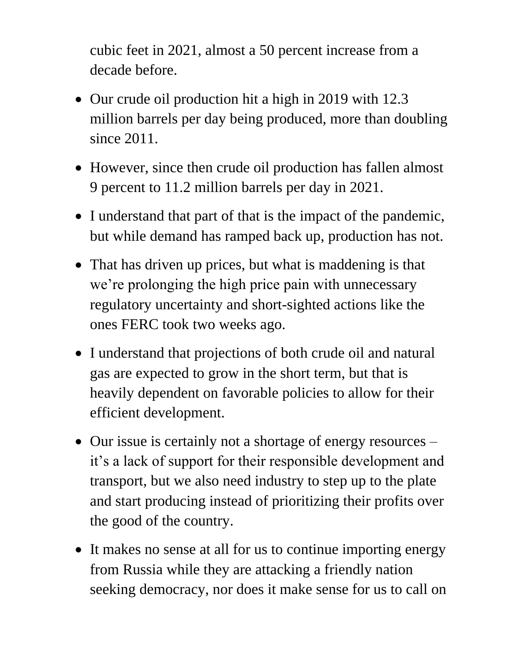cubic feet in 2021, almost a 50 percent increase from a decade before.

- Our crude oil production hit a high in 2019 with 12.3 million barrels per day being produced, more than doubling since 2011.
- However, since then crude oil production has fallen almost 9 percent to 11.2 million barrels per day in 2021.
- I understand that part of that is the impact of the pandemic, but while demand has ramped back up, production has not.
- That has driven up prices, but what is maddening is that we're prolonging the high price pain with unnecessary regulatory uncertainty and short-sighted actions like the ones FERC took two weeks ago.
- I understand that projections of both crude oil and natural gas are expected to grow in the short term, but that is heavily dependent on favorable policies to allow for their efficient development.
- Our issue is certainly not a shortage of energy resources it's a lack of support for their responsible development and transport, but we also need industry to step up to the plate and start producing instead of prioritizing their profits over the good of the country.
- It makes no sense at all for us to continue importing energy from Russia while they are attacking a friendly nation seeking democracy, nor does it make sense for us to call on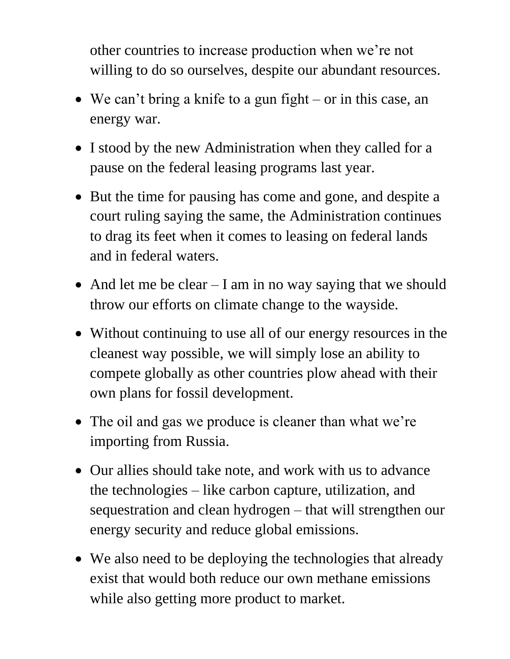other countries to increase production when we're not willing to do so ourselves, despite our abundant resources.

- We can't bring a knife to a gun fight or in this case, an energy war.
- I stood by the new Administration when they called for a pause on the federal leasing programs last year.
- But the time for pausing has come and gone, and despite a court ruling saying the same, the Administration continues to drag its feet when it comes to leasing on federal lands and in federal waters.
- And let me be clear I am in no way saying that we should throw our efforts on climate change to the wayside.
- Without continuing to use all of our energy resources in the cleanest way possible, we will simply lose an ability to compete globally as other countries plow ahead with their own plans for fossil development.
- The oil and gas we produce is cleaner than what we're importing from Russia.
- Our allies should take note, and work with us to advance the technologies – like carbon capture, utilization, and sequestration and clean hydrogen – that will strengthen our energy security and reduce global emissions.
- We also need to be deploying the technologies that already exist that would both reduce our own methane emissions while also getting more product to market.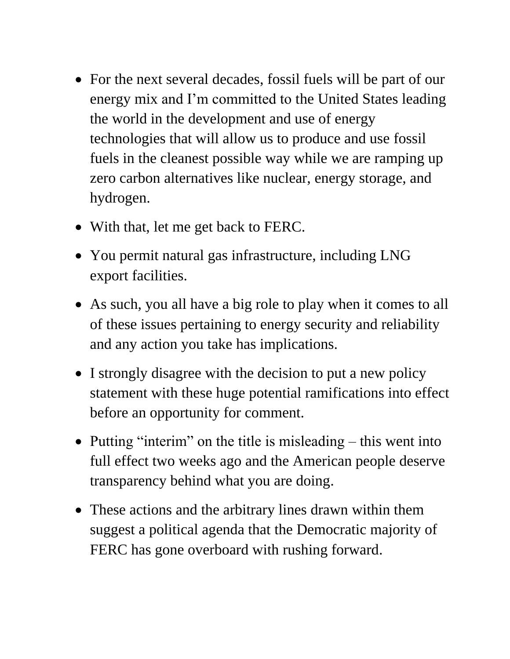- For the next several decades, fossil fuels will be part of our energy mix and I'm committed to the United States leading the world in the development and use of energy technologies that will allow us to produce and use fossil fuels in the cleanest possible way while we are ramping up zero carbon alternatives like nuclear, energy storage, and hydrogen.
- With that, let me get back to FERC.
- You permit natural gas infrastructure, including LNG export facilities.
- As such, you all have a big role to play when it comes to all of these issues pertaining to energy security and reliability and any action you take has implications.
- I strongly disagree with the decision to put a new policy statement with these huge potential ramifications into effect before an opportunity for comment.
- Putting "interim" on the title is misleading this went into full effect two weeks ago and the American people deserve transparency behind what you are doing.
- These actions and the arbitrary lines drawn within them suggest a political agenda that the Democratic majority of FERC has gone overboard with rushing forward.